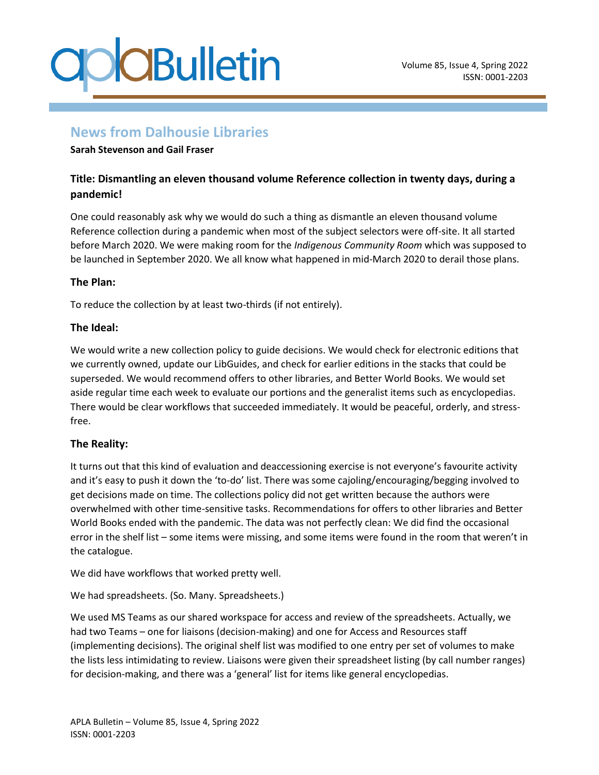

### **News from Dalhousie Libraries**

#### **Sarah Stevenson and Gail Fraser**

### **Title: Dismantling an eleven thousand volume Reference collection in twenty days, during a pandemic!**

One could reasonably ask why we would do such a thing as dismantle an eleven thousand volume Reference collection during a pandemic when most of the subject selectors were off-site. It all started before March 2020. We were making room for the *Indigenous Community Room* which was supposed to be launched in September 2020. We all know what happened in mid-March 2020 to derail those plans.

### **The Plan:**

To reduce the collection by at least two-thirds (if not entirely).

### **The Ideal:**

We would write a new collection policy to guide decisions. We would check for electronic editions that we currently owned, update our LibGuides, and check for earlier editions in the stacks that could be superseded. We would recommend offers to other libraries, and Better World Books. We would set aside regular time each week to evaluate our portions and the generalist items such as encyclopedias. There would be clear workflows that succeeded immediately. It would be peaceful, orderly, and stressfree.

### **The Reality:**

It turns out that this kind of evaluation and deaccessioning exercise is not everyone's favourite activity and it's easy to push it down the 'to-do' list. There was some cajoling/encouraging/begging involved to get decisions made on time. The collections policy did not get written because the authors were overwhelmed with other time-sensitive tasks. Recommendations for offers to other libraries and Better World Books ended with the pandemic. The data was not perfectly clean: We did find the occasional error in the shelf list – some items were missing, and some items were found in the room that weren't in the catalogue.

We did have workflows that worked pretty well.

We had spreadsheets. (So. Many. Spreadsheets.)

We used MS Teams as our shared workspace for access and review of the spreadsheets. Actually, we had two Teams – one for liaisons (decision-making) and one for Access and Resources staff (implementing decisions). The original shelf list was modified to one entry per set of volumes to make the lists less intimidating to review. Liaisons were given their spreadsheet listing (by call number ranges) for decision-making, and there was a 'general' list for items like general encyclopedias.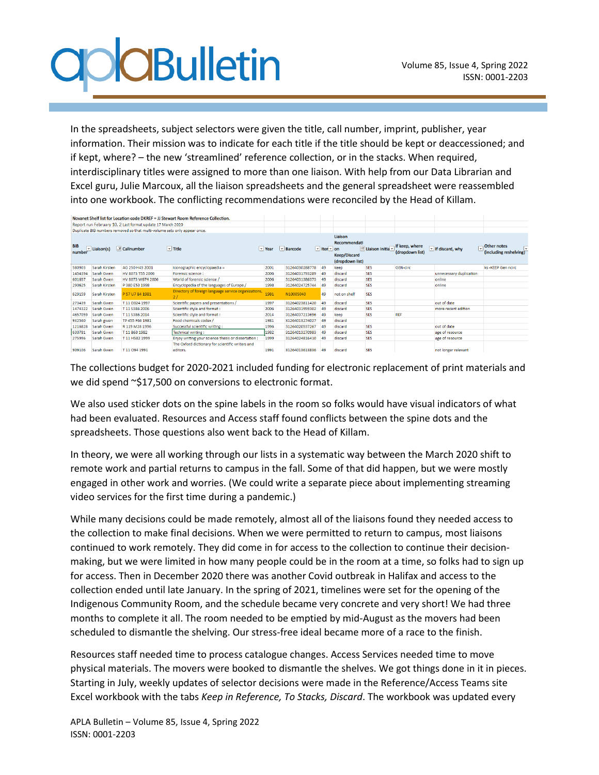## **O**CBulletin

In the spreadsheets, subject selectors were given the title, call number, imprint, publisher, year information. Their mission was to indicate for each title if the title should be kept or deaccessioned; and if kept, where? – the new 'streamlined' reference collection, or in the stacks. When required, interdisciplinary titles were assigned to more than one liaison. With help from our Data Librarian and Excel guru, Julie Marcoux, all the liaison spreadsheets and the general spreadsheet were reassembled into one workbook. The conflicting recommendations were reconciled by the Head of Killam.

| Novanet Shelf list for Location code DKREF = JJ Stewart Room Reference Collection.<br>Report run February 10, 2 Last format update 17 March 2020<br>Duplicate BIB numbers removed so that multi-volume sets only appear once. |               |                       |                                                              |                   |                |                 |                                                                   |                     |                                   |                                        |                                             |
|-------------------------------------------------------------------------------------------------------------------------------------------------------------------------------------------------------------------------------|---------------|-----------------------|--------------------------------------------------------------|-------------------|----------------|-----------------|-------------------------------------------------------------------|---------------------|-----------------------------------|----------------------------------------|---------------------------------------------|
| <b>BIB</b>                                                                                                                                                                                                                    | Liaison(s)    | $\sqrt{v}$ Callnumber | $\boxed{\vee}$ Title                                         | $ $ $\times$ Year | $\vee$ Barcode | $ $ v Iten v on | Liaison<br>Recommendati<br><b>Keep/Discard</b><br>(dropdown list) | 18 Liaison initia v | If keep, where<br>(dropdown list) | $\vee$ If discard, why<br>$\checkmark$ | Other notes<br>Γv<br>(including reshelving) |
| 580903                                                                                                                                                                                                                        | Sarah Kirsten | AG 250 H43 2001       | Iconographic encyclopaedia =                                 | 2001              | 31264030288778 | 49              | keep                                                              | <b>SES</b>          | <b>GEN-circ</b>                   |                                        | ks -KEEP Gen ncirc                          |
| 1454394                                                                                                                                                                                                                       | Sarah Gwen    | HV 8073 T55 2006      | Forensic science :                                           | 2006              | 31264031793289 | 49              | discard                                                           | <b>SES</b>          |                                   | unnecessary duplication                |                                             |
| 601657                                                                                                                                                                                                                        | Sarah Gwen    | HV 8073 W674 2006     | World of forensic science /                                  | 2006              | 31264031386373 | 49              | discard                                                           | <b>SES</b>          |                                   | online                                 |                                             |
| 290625                                                                                                                                                                                                                        | Sarah Kirsten | P 380 E53 1998        | Encyclopedia of the languages of Europe /                    | 1998              | 31264024725744 | 49              | discard                                                           | <b>SES</b>          |                                   | online                                 |                                             |
| 629159                                                                                                                                                                                                                        | Sarah Kirsten | P 57 U7 B4 1981       | Directory of foreign language service organizations,<br>2/3  | 1981              | N10005040      | 49              | not on shelf                                                      | <b>SES</b>          |                                   |                                        |                                             |
| 273439                                                                                                                                                                                                                        | Sarah Gwen    | T11 D324 1997         | Scientific papers and presentations /                        | 1997              | 31264023811420 | 49              | discard                                                           | <b>SES</b>          |                                   | out of date                            |                                             |
| 1474322                                                                                                                                                                                                                       | Sarah Gwen    | T 11 S386 2006        | Scientific style and format:                                 | 2006              | 31264031959302 | 49              | discard                                                           | <b>SES</b>          |                                   | more recent edition                    |                                             |
| 4657059                                                                                                                                                                                                                       | Sarah Gwen    | T 11 S386 2014        | Scientific style and format :                                | 2014              | 31264037213696 | 49              | keep                                                              | <b>SES</b>          | REF                               |                                        |                                             |
| 932560                                                                                                                                                                                                                        | Sarah gwen    | TP 455 F66 1981       | Food chemicals codex /                                       | 1981              | 31264013274027 | 49              | discard                                                           |                     |                                   |                                        |                                             |
| 1216828                                                                                                                                                                                                                       | Sarah Gwen    | R 119 M28 1996        | Successful scientific writing:                               | 1996              | 31264020537267 | 49              | discard                                                           | <b>SES</b>          |                                   | out of date                            |                                             |
| 630781                                                                                                                                                                                                                        | Sarah Gwen    | T 11 B63 1982         | Technical writing:                                           | 1982              | 31264013270983 | 49              | discard                                                           | <b>SES</b>          |                                   | age of resource                        |                                             |
| 275996                                                                                                                                                                                                                        | Sarah Gwen    | T 11 H582 1999        | Enjoy writing your science thesis or dissertation :          | 1999              | 31264024816410 | 49              | discard                                                           | <b>SES</b>          |                                   | age of resource                        |                                             |
| 909106                                                                                                                                                                                                                        | Sarah Gwen    | T110941991            | The Oxford dictionary for scientific writers and<br>editors. | 1991              | 31264013613836 | 49              | discard                                                           | <b>SES</b>          |                                   | not longer relevant                    |                                             |

The collections budget for 2020-2021 included funding for electronic replacement of print materials and we did spend ~\$17,500 on conversions to electronic format.

We also used sticker dots on the spine labels in the room so folks would have visual indicators of what had been evaluated. Resources and Access staff found conflicts between the spine dots and the spreadsheets. Those questions also went back to the Head of Killam.

In theory, we were all working through our lists in a systematic way between the March 2020 shift to remote work and partial returns to campus in the fall. Some of that did happen, but we were mostly engaged in other work and worries. (We could write a separate piece about implementing streaming video services for the first time during a pandemic.)

While many decisions could be made remotely, almost all of the liaisons found they needed access to the collection to make final decisions. When we were permitted to return to campus, most liaisons continued to work remotely. They did come in for access to the collection to continue their decisionmaking, but we were limited in how many people could be in the room at a time, so folks had to sign up for access. Then in December 2020 there was another Covid outbreak in Halifax and access to the collection ended until late January. In the spring of 2021, timelines were set for the opening of the Indigenous Community Room, and the schedule became very concrete and very short! We had three months to complete it all. The room needed to be emptied by mid-August as the movers had been scheduled to dismantle the shelving. Our stress-free ideal became more of a race to the finish.

Resources staff needed time to process catalogue changes. Access Services needed time to move physical materials. The movers were booked to dismantle the shelves. We got things done in it in pieces. Starting in July, weekly updates of selector decisions were made in the Reference/Access Teams site Excel workbook with the tabs *Keep in Reference, To Stacks, Discard*. The workbook was updated every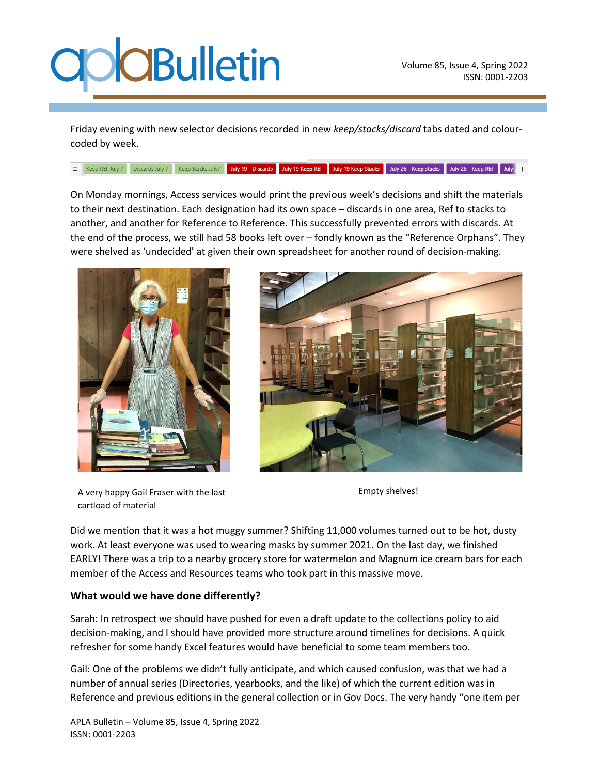## **O**CBulletin

Friday evening with new selector decisions recorded in new *keep/stacks/discard* tabs dated and colourcoded by week.

E Keep REF July 7 Discards July 7 Keep Stacks July 7 July 19 - Discards July 19 Keep REF July 19 Keep Stacks July 26 - Keep stacks July 26 - Keep REF July 1

On Monday mornings, Access services would print the previous week's decisions and shift the materials to their next destination. Each designation had its own space – discards in one area, Ref to stacks to another, and another for Reference to Reference. This successfully prevented errors with discards. At the end of the process, we still had 58 books left over – fondly known as the "Reference Orphans". They were shelved as 'undecided' at given their own spreadsheet for another round of decision-making.





A very happy Gail Fraser with the last cartload of material

Empty shelves!

Did we mention that it was a hot muggy summer? Shifting 11,000 volumes turned out to be hot, dusty work. At least everyone was used to wearing masks by summer 2021. On the last day, we finished EARLY! There was a trip to a nearby grocery store for watermelon and Magnum ice cream bars for each member of the Access and Resources teams who took part in this massive move.

### **What would we have done differently?**

Sarah: In retrospect we should have pushed for even a draft update to the collections policy to aid decision-making, and I should have provided more structure around timelines for decisions. A quick refresher for some handy Excel features would have beneficial to some team members too.

Gail: One of the problems we didn't fully anticipate, and which caused confusion, was that we had a number of annual series (Directories, yearbooks, and the like) of which the current edition was in Reference and previous editions in the general collection or in Gov Docs. The very handy "one item per